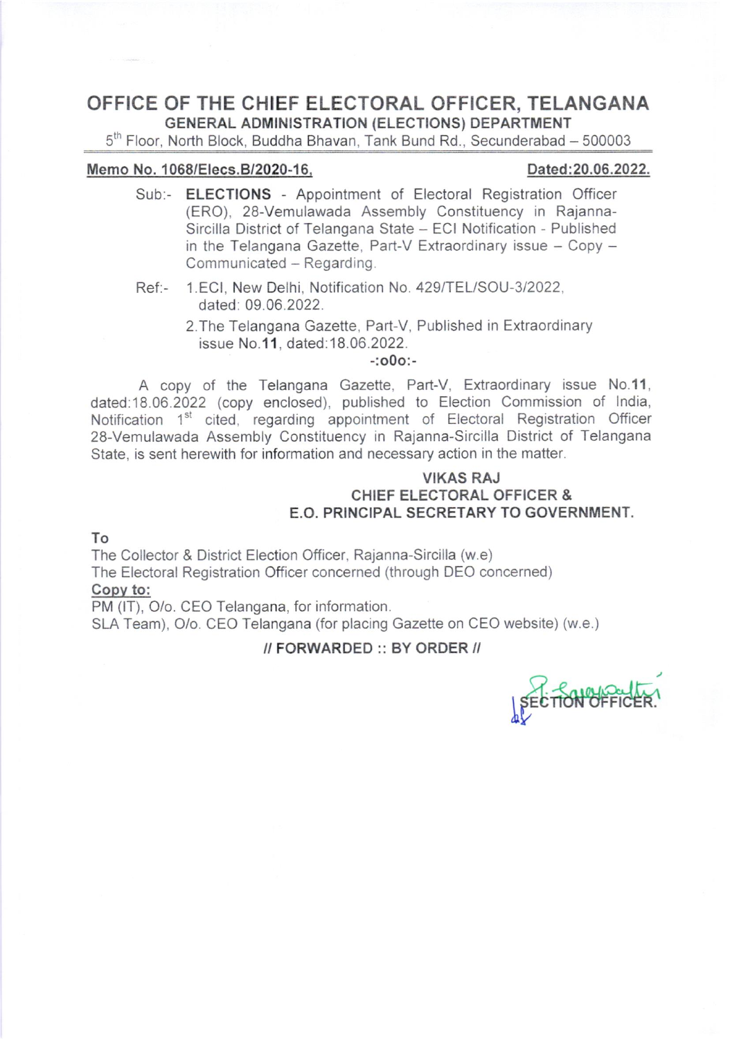### OFFICE OF THE CHIEF ELECTORAL OFFICER, TELANGANA GENERAL ADMINISTRATION (ELECTIONS) DEPARTMENT

 $5<sup>th</sup>$  Floor, North Block, Buddha Bhavan, Tank Bund Rd., Secunderabad - 500003

### Memo No. 1068/Elecs.B/2020-16, 2008. 2009 Dated:20.06.2022.

- Sub:- **ELECTIONS** Appointment of Electoral Registration Officer (ERO), 28-Vemulawada Assembly Constituency in Rajanna-Sircilla District of Telangana State - ECI Notification - Published in the Telangana Gazette, Part-V Extraordinary issue  $-$  Copy  $-$ Communicated - Regarding.
- Ref:- 1.ECI, New Delhi, Notification No. 429/TEL/SOU-3/2022, dated: 09.06 2022.
	- 2.The Telangana Gazette, Part-V, Published in Extraordinary issue No.11, dated:18.06.2022.

-:o0o:-

A copy of the Telangana Gazette, Part-V, Extraordinary issue No.11. dated.18.06.2022 (copy enclosed), published to Election Commission of lndia, Notification 1<sup>st</sup> cited, regarding appointment of Electoral Registration Officer 28-Vemulawada Assembly Constituency in Rajanna-Sircilla District of Telangana State, is sent herewith for information and necessary action in the matter.

### VIKAS RAJ CHIEF ELECTORAL OFFICER & E.O. PRINCIPAL SECRETARY TO GOVERNMENT.

#### To

The Collector & District Election Officer, Rajanna-Sircilla (w.e) The Electoral Registration Officer concerned (through DEO concerned) Copv to:

PM (IT), O/o. CEO Telangana, for information.

SLA Team), O/o. CEO Telangana (for placing Gazette on CEO website) (w.e.)

### // FORWARDED :: BY ORDER //

**SEC** SECTION OFFICER.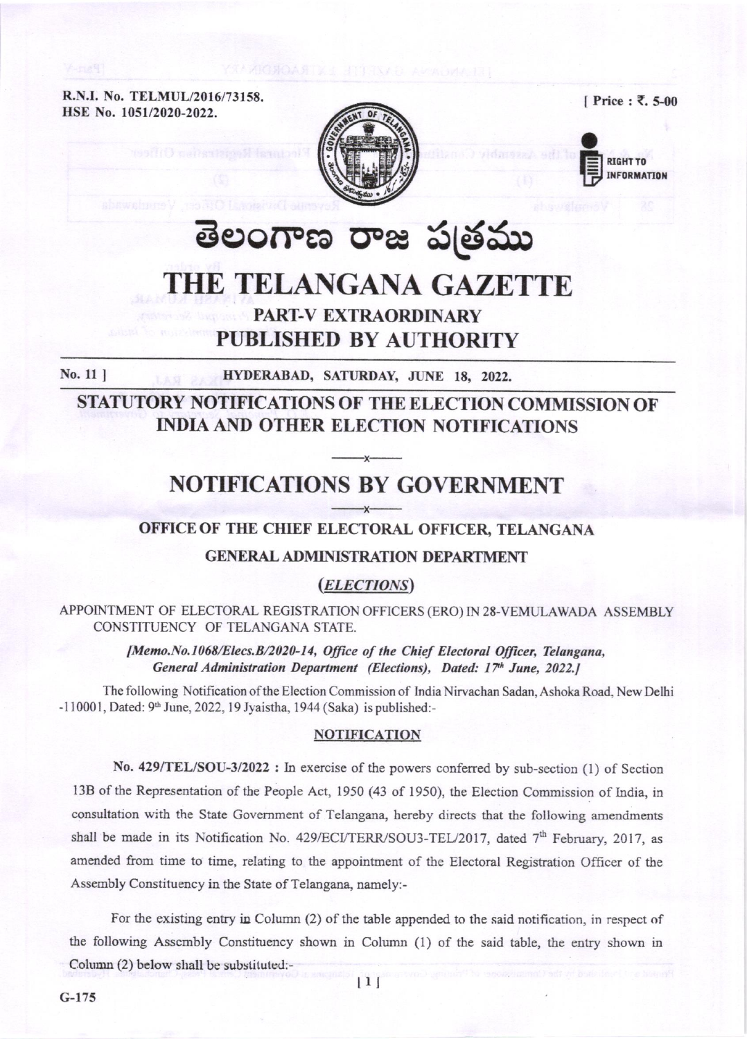R.N.I. No. TELMUL/2016/73158. HSE No. 1051/2020-2022.

[ Price : ₹. 5-00





# తెలంగాణ రాజ పత్రము

# THE TELANGANA GAZETTE **PART-V EXTRAORDINARY**

### **PUBLISHED BY AUTHORITY**

No. 11 ]

HYDERABAD, SATURDAY, JUNE 18, 2022.

STATUTORY NOTIFICATIONS OF THE ELECTION COMMISSION OF **INDIA AND OTHER ELECTION NOTIFICATIONS** 

## **NOTIFICATIONS BY GOVERNMENT**

### OFFICE OF THE CHIEF ELECTORAL OFFICER, TELANGANA

### **GENERAL ADMINISTRATION DEPARTMENT**

### (*ELECTIONS*)

APPOINTMENT OF ELECTORAL REGISTRATION OFFICERS (ERO) IN 28-VEMULAWADA ASSEMBLY CONSTITUENCY OF TELANGANA STATE.

> [Memo.No.1068/Elecs.B/2020-14, Office of the Chief Electoral Officer, Telangana, General Administration Department (Elections), Dated: 17th June, 2022.]

The following Notification of the Election Commission of India Nirvachan Sadan, Ashoka Road, New Delhi -110001, Dated: 9th June, 2022, 19 Jyaistha, 1944 (Saka) is published:-

#### **NOTIFICATION**

No. 429/TEL/SOU-3/2022: In exercise of the powers conferred by sub-section (1) of Section 13B of the Representation of the People Act, 1950 (43 of 1950), the Election Commission of India, in consultation with the State Government of Telangana, hereby directs that the following amendments shall be made in its Notification No. 429/ECI/TERR/SOU3-TEL/2017, dated 7<sup>th</sup> February, 2017, as amended from time to time, relating to the appointment of the Electoral Registration Officer of the Assembly Constituency in the State of Telangana, namely:-

For the existing entry in Column  $(2)$  of the table appended to the said notification, in respect of the following Assembly Constituency shown in Column (1) of the said table, the entry shown in Column (2) below shall be substituted:-